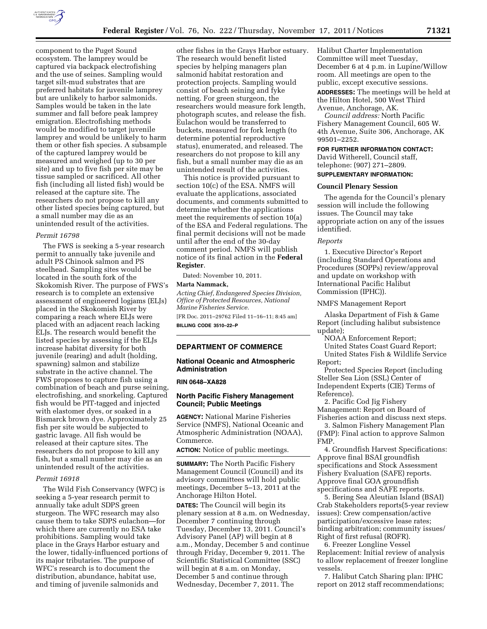

component to the Puget Sound ecosystem. The lamprey would be captured via backpack electrofishing and the use of seines. Sampling would target silt-mud substrates that are preferred habitats for juvenile lamprey but are unlikely to harbor salmonids. Samples would be taken in the late summer and fall before peak lamprey emigration. Electrofishing methods would be modified to target juvenile lamprey and would be unlikely to harm them or other fish species. A subsample of the captured lamprey would be measured and weighed (up to 30 per site) and up to five fish per site may be tissue sampled or sacrificed. All other fish (including all listed fish) would be released at the capture site. The researchers do not propose to kill any other listed species being captured, but a small number may die as an unintended result of the activities.

#### *Permit 16798*

The FWS is seeking a 5-year research permit to annually take juvenile and adult PS Chinook salmon and PS steelhead. Sampling sites would be located in the south fork of the Skokomish River. The purpose of FWS's research is to complete an extensive assessment of engineered logjams (ELJs) placed in the Skokomish River by comparing a reach where ELJs were placed with an adjacent reach lacking ELJs. The research would benefit the listed species by assessing if the ELJs increase habitat diversity for both juvenile (rearing) and adult (holding, spawning) salmon and stabilize substrate in the active channel. The FWS proposes to capture fish using a combination of beach and purse seining, electrofishing, and snorkeling. Captured fish would be PIT-tagged and injected with elastomer dyes, or soaked in a Bismarck brown dye. Approximately 25 fish per site would be subjected to gastric lavage. All fish would be released at their capture sites. The researchers do not propose to kill any fish, but a small number may die as an unintended result of the activities.

#### *Permit 16918*

The Wild Fish Conservancy (WFC) is seeking a 5-year research permit to annually take adult SDPS green sturgeon. The WFC research may also cause them to take SDPS eulachon—for which there are currently no ESA take prohibitions. Sampling would take place in the Grays Harbor estuary and the lower, tidally-influenced portions of its major tributaries. The purpose of WFC's research is to document the distribution, abundance, habitat use, and timing of juvenile salmonids and

other fishes in the Grays Harbor estuary. The research would benefit listed species by helping managers plan salmonid habitat restoration and protection projects. Sampling would consist of beach seining and fyke netting. For green sturgeon, the researchers would measure fork length, photograph scutes, and release the fish. Eulachon would be transferred to buckets, measured for fork length (to determine potential reproductive status), enumerated, and released. The researchers do not propose to kill any fish, but a small number may die as an unintended result of the activities.

This notice is provided pursuant to section 10(c) of the ESA. NMFS will evaluate the applications, associated documents, and comments submitted to determine whether the applications meet the requirements of section 10(a) of the ESA and Federal regulations. The final permit decisions will not be made until after the end of the 30-day comment period. NMFS will publish notice of its final action in the **Federal Register**.

Dated: November 10, 2011. **Marta Nammack,** 

*Acting Chief, Endangered Species Division, Office of Protected Resources, National Marine Fisheries Service.* 

[FR Doc. 2011–29762 Filed 11–16–11; 8:45 am] **BILLING CODE 3510–22–P** 

### **DEPARTMENT OF COMMERCE**

### **National Oceanic and Atmospheric Administration**

#### **RIN 0648–XA828**

### **North Pacific Fishery Management Council; Public Meetings**

**AGENCY:** National Marine Fisheries Service (NMFS), National Oceanic and Atmospheric Administration (NOAA), Commerce.

**ACTION:** Notice of public meetings.

**SUMMARY:** The North Pacific Fishery Management Council (Council) and its advisory committees will hold public meetings, December 5–13, 2011 at the Anchorage Hilton Hotel.

**DATES:** The Council will begin its plenary session at 8 a.m. on Wednesday, December 7 continuing through Tuesday, December 13, 2011. Council's Advisory Panel (AP) will begin at 8 a.m., Monday, December 5 and continue through Friday, December 9, 2011. The Scientific Statistical Committee (SSC) will begin at 8 a.m. on Monday, December 5 and continue through Wednesday, December 7, 2011. The

Halibut Charter Implementation Committee will meet Tuesday, December 6 at 4 p.m. in Lupine/Willow room. All meetings are open to the public, except executive sessions.

**ADDRESSES:** The meetings will be held at the Hilton Hotel, 500 West Third Avenue, Anchorage, AK.

*Council address:* North Pacific Fishery Management Council, 605 W. 4th Avenue, Suite 306, Anchorage, AK 99501–2252.

### **FOR FURTHER INFORMATION CONTACT:**

David Witherell, Council staff, telephone: (907) 271–2809.

# **SUPPLEMENTARY INFORMATION:**

### **Council Plenary Session**

The agenda for the Council's plenary session will include the following issues. The Council may take appropriate action on any of the issues identified.

### *Reports*

1. Executive Director's Report (including Standard Operations and Procedures (SOPPs) review/approval and update on workshop with International Pacific Halibut Commission (IPHC)).

#### NMFS Management Report

Alaska Department of Fish & Game Report (including halibut subsistence update);

NOAA Enforcement Report;

United States Coast Guard Report; United States Fish & Wildlife Service Report;

Protected Species Report (including Steller Sea Lion (SSL) Center of Independent Experts (CIE) Terms of Reference).

2. Pacific Cod Jig Fishery Management: Report on Board of Fisheries action and discuss next steps.

3. Salmon Fishery Management Plan (FMP): Final action to approve Salmon FMP.

4. Groundfish Harvest Specifications: Approve final BSAI groundfish specifications and Stock Assessment Fishery Evaluation (SAFE) reports. Approve final GOA groundfish specifications and SAFE reports.

5. Bering Sea Aleutian Island (BSAI) Crab Stakeholders reports(5-year review issues): Crew compensation/active participation/excessive lease rates; binding arbitration; community issues/ Right of first refusal (ROFR).

6. Freezer Longline Vessel Replacement: Initial review of analysis to allow replacement of freezer longline vessels.

7. Halibut Catch Sharing plan: IPHC report on 2012 staff recommendations;